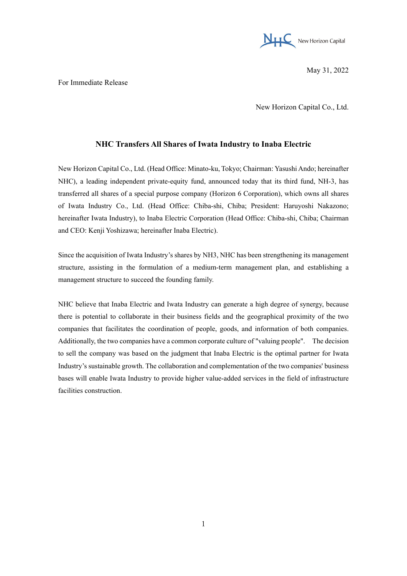

May 31, 2022

For Immediate Release

New Horizon Capital Co., Ltd.

## **NHC Transfers All Shares of Iwata Industry to Inaba Electric**

New Horizon Capital Co., Ltd. (Head Office: Minato-ku, Tokyo; Chairman: Yasushi Ando; hereinafter NHC), a leading independent private-equity fund, announced today that its third fund, NH-3, has transferred all shares of a special purpose company (Horizon 6 Corporation), which owns all shares of Iwata Industry Co., Ltd. (Head Office: Chiba-shi, Chiba; President: Haruyoshi Nakazono; hereinafter Iwata Industry), to Inaba Electric Corporation (Head Office: Chiba-shi, Chiba; Chairman and CEO: Kenji Yoshizawa; hereinafter Inaba Electric).

Since the acquisition of Iwata Industry's shares by NH3, NHC has been strengthening its management structure, assisting in the formulation of a medium-term management plan, and establishing a management structure to succeed the founding family.

NHC believe that Inaba Electric and Iwata Industry can generate a high degree of synergy, because there is potential to collaborate in their business fields and the geographical proximity of the two companies that facilitates the coordination of people, goods, and information of both companies. Additionally, the two companies have a common corporate culture of "valuing people". The decision to sell the company was based on the judgment that Inaba Electric is the optimal partner for Iwata Industry's sustainable growth. The collaboration and complementation of the two companies' business bases will enable Iwata Industry to provide higher value-added services in the field of infrastructure facilities construction.